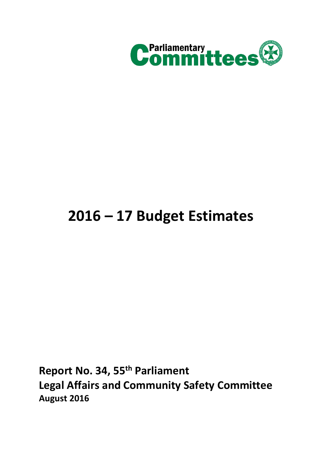

# **2016 – 17 Budget Estimates**

**Report No. 34, 55th Parliament Legal Affairs and Community Safety Committee August 2016**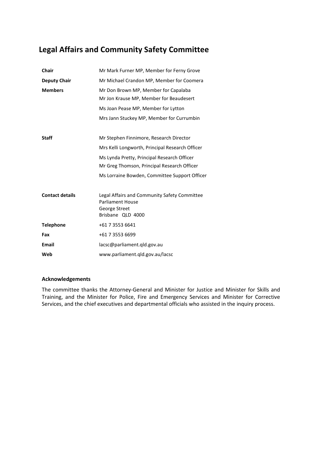# **Legal Affairs and Community Safety Committee**

| Mr Mark Furner MP, Member for Ferny Grove       |  |  |
|-------------------------------------------------|--|--|
| Mr Michael Crandon MP, Member for Coomera       |  |  |
| Mr Don Brown MP, Member for Capalaba            |  |  |
| Mr Jon Krause MP, Member for Beaudesert         |  |  |
| Ms Joan Pease MP, Member for Lytton             |  |  |
| Mrs Jann Stuckey MP, Member for Currumbin       |  |  |
|                                                 |  |  |
| Mr Stephen Finnimore, Research Director         |  |  |
| Mrs Kelli Longworth, Principal Research Officer |  |  |
| Ms Lynda Pretty, Principal Research Officer     |  |  |
| Mr Greg Thomson, Principal Research Officer     |  |  |
| Ms Lorraine Bowden, Committee Support Officer   |  |  |
|                                                 |  |  |
| Legal Affairs and Community Safety Committee    |  |  |
| <b>Parliament House</b><br>George Street        |  |  |
| Brisbane QLD 4000                               |  |  |
| +61 7 3553 6641                                 |  |  |
| +61 7 3553 6699                                 |  |  |
| lacsc@parliament.qld.gov.au                     |  |  |
| www.parliament.qld.gov.au/lacsc                 |  |  |
|                                                 |  |  |

#### **Acknowledgements**

The committee thanks the Attorney-General and Minister for Justice and Minister for Skills and Training, and the Minister for Police, Fire and Emergency Services and Minister for Corrective Services, and the chief executives and departmental officials who assisted in the inquiry process.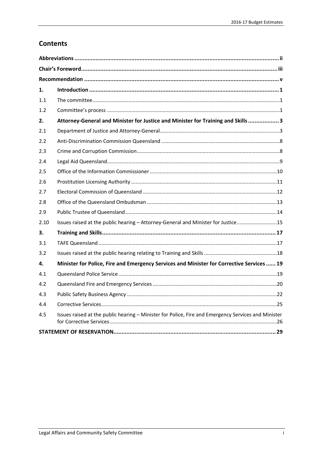# **Contents**

| 1.   |                                                                                                     |
|------|-----------------------------------------------------------------------------------------------------|
| 1.1  |                                                                                                     |
| 1.2  |                                                                                                     |
| 2.   | Attorney-General and Minister for Justice and Minister for Training and Skills 3                    |
| 2.1  |                                                                                                     |
| 2.2  |                                                                                                     |
| 2.3  |                                                                                                     |
| 2.4  |                                                                                                     |
| 2.5  |                                                                                                     |
| 2.6  |                                                                                                     |
| 2.7  |                                                                                                     |
| 2.8  |                                                                                                     |
| 2.9  |                                                                                                     |
| 2.10 | Issues raised at the public hearing - Attorney-General and Minister for Justice15                   |
| 3.   |                                                                                                     |
| 3.1  |                                                                                                     |
| 3.2  |                                                                                                     |
| 4.   | Minister for Police, Fire and Emergency Services and Minister for Corrective Services  19           |
| 4.1  |                                                                                                     |
| 4.2  |                                                                                                     |
| 4.3  |                                                                                                     |
| 4.4  |                                                                                                     |
| 4.5  | Issues raised at the public hearing - Minister for Police, Fire and Emergency Services and Minister |
|      |                                                                                                     |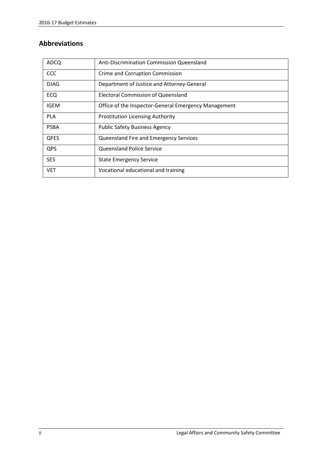# <span id="page-5-0"></span>**Abbreviations**

| <b>ADCQ</b> | <b>Anti-Discrimination Commission Queensland</b>     |
|-------------|------------------------------------------------------|
| <b>CCC</b>  | Crime and Corruption Commission                      |
| <b>DJAG</b> | Department of Justice and Attorney-General           |
| <b>ECQ</b>  | Electoral Commission of Queensland                   |
| <b>IGEM</b> | Office of the Inspector-General Emergency Management |
| <b>PLA</b>  | <b>Prostitution Licensing Authority</b>              |
| <b>PSBA</b> | <b>Public Safety Business Agency</b>                 |
| <b>QFES</b> | Queensland Fire and Emergency Services               |
| QPS         | <b>Queensland Police Service</b>                     |
| <b>SES</b>  | <b>State Emergency Service</b>                       |
| <b>VET</b>  | Vocational educational and training                  |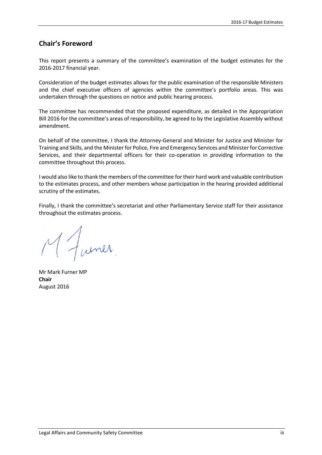# <span id="page-6-0"></span>**Chair's Foreword**

This report presents a summary of the committee's examination of the budget estimates for the 2016-2017 financial year.

Consideration of the budget estimates allows for the public examination of the responsible Ministers and the chief executive officers of agencies within the committee's portfolio areas. This was undertaken through the questions on notice and public hearing process.

The committee has recommended that the proposed expenditure, as detailed in the Appropriation Bill 2016 for the committee's areas of responsibility, be agreed to by the Legislative Assembly without amendment.

On behalf of the committee, I thank the Attorney-General and Minister for Justice and Minister for Training and Skills, and the Minister for Police, Fire and Emergency Services and Minister for Corrective Services, and their departmental officers for their co-operation in providing information to the committee throughout this process.

I would also like to thank the members of the committee for their hard work and valuable contribution to the estimates process, and other members whose participation in the hearing provided additional scrutiny of the estimates.

Finally, I thank the committee's secretariat and other Parliamentary Service staff for their assistance throughout the estimates process.

M Jumer

Mr Mark Furner MP **Chair** August 2016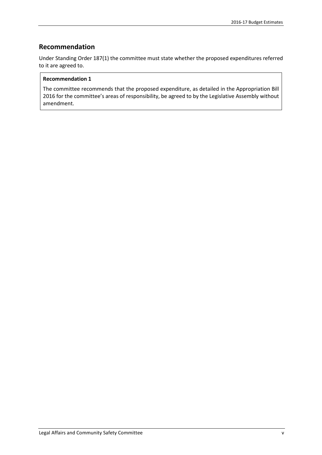# <span id="page-8-0"></span>**Recommendation**

Under Standing Order 187(1) the committee must state whether the proposed expenditures referred to it are agreed to.

#### **Recommendation 1**

The committee recommends that the proposed expenditure, as detailed in the Appropriation Bill 2016 for the committee's areas of responsibility, be agreed to by the Legislative Assembly without amendment.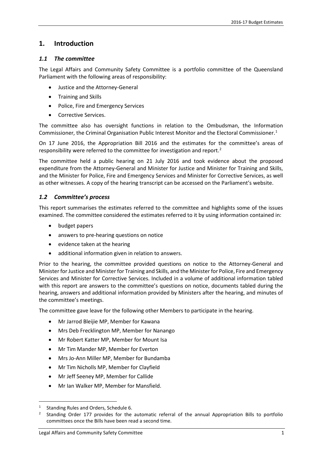# <span id="page-10-0"></span>**1. Introduction**

# <span id="page-10-1"></span>*1.1 The committee*

The Legal Affairs and Community Safety Committee is a portfolio committee of the Queensland Parliament with the following areas of responsibility:

- Justice and the Attorney-General
- Training and Skills
- Police, Fire and Emergency Services
- Corrective Services.

The committee also has oversight functions in relation to the Ombudsman, the Information Commissioner, the Criminal Organisation Public Interest Monitor and the Electoral Commissioner.<sup>[1](#page-10-3)</sup>

On 17 June 2016, the Appropriation Bill 2016 and the estimates for the committee's areas of responsibility were referred to the committee for investigation and report.<sup>[2](#page-10-4)</sup>

The committee held a public hearing on 21 July 2016 and took evidence about the proposed expenditure from the Attorney-General and Minister for Justice and Minister for Training and Skills, and the Minister for Police, Fire and Emergency Services and Minister for Corrective Services, as well as other witnesses. A copy of the hearing transcript can be accessed on the Parliament's website.

# <span id="page-10-2"></span>*1.2 Committee's process*

This report summarises the estimates referred to the committee and highlights some of the issues examined. The committee considered the estimates referred to it by using information contained in:

- budget papers
- answers to pre-hearing questions on notice
- evidence taken at the hearing
- additional information given in relation to answers.

Prior to the hearing, the committee provided questions on notice to the Attorney-General and Minister for Justice and Minister for Training and Skills, and the Minister for Police, Fire and Emergency Services and Minister for Corrective Services. Included in a volume of additional information tabled with this report are answers to the committee's questions on notice, documents tabled during the hearing, answers and additional information provided by Ministers after the hearing, and minutes of the committee's meetings.

The committee gave leave for the following other Members to participate in the hearing.

- Mr Jarrod Bleijie MP, Member for Kawana
- Mrs Deb Frecklington MP, Member for Nanango
- Mr Robert Katter MP, Member for Mount Isa
- Mr Tim Mander MP, Member for Everton
- Mrs Jo-Ann Miller MP, Member for Bundamba
- Mr Tim Nicholls MP, Member for Clayfield
- Mr Jeff Seeney MP, Member for Callide
- Mr Ian Walker MP, Member for Mansfield.

<span id="page-10-4"></span><span id="page-10-3"></span>

<sup>&</sup>lt;sup>1</sup> Standing Rules and Orders, Schedule 6.<br><sup>2</sup> Standing Order 177 provides for the automatic referral of the annual Appropriation Bills to portfolio committees once the Bills have been read a second time.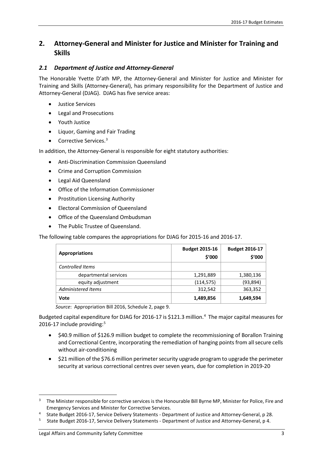# <span id="page-12-0"></span>**2. Attorney-General and Minister for Justice and Minister for Training and Skills**

## <span id="page-12-1"></span>*2.1 Department of Justice and Attorney-General*

The Honorable Yvette D'ath MP, the Attorney-General and Minister for Justice and Minister for Training and Skills (Attorney-General), has primary responsibility for the Department of Justice and Attorney-General (DJAG). DJAG has five service areas:

- Justice Services
- Legal and Prosecutions
- Youth Justice
- Liquor, Gaming and Fair Trading
- Corrective Services. $3$

In addition, the Attorney-General is responsible for eight statutory authorities:

- Anti-Discrimination Commission Queensland
- Crime and Corruption Commission
- Legal Aid Queensland
- Office of the Information Commissioner
- Prostitution Licensing Authority
- Electoral Commission of Queensland
- Office of the Queensland Ombudsman
- The Public Trustee of Queensland.

The following table compares the appropriations for DJAG for 2015-16 and 2016-17.

| <b>Appropriations</b>     | <b>Budget 2015-16</b><br>\$'000 | <b>Budget 2016-17</b><br>\$'000 |
|---------------------------|---------------------------------|---------------------------------|
| <b>Controlled Items</b>   |                                 |                                 |
| departmental services     | 1,291,889                       | 1,380,136                       |
| equity adjustment         | (114, 575)                      | (93, 894)                       |
| <b>Administered Items</b> | 312,542                         | 363,352                         |
| Vote                      | 1,489,856                       | 1,649,594                       |

*Source*: Appropriation Bill 2016, Schedule 2, page 9.

Budgeted capital expenditure for DJAG for 2016-17 is \$121.3 million.<sup>[4](#page-12-3)</sup> The major capital measures for 2016-17 include providing: [5](#page-12-4)

- \$40.9 million of \$126.9 million budget to complete the recommissioning of Borallon Training and Correctional Centre, incorporating the remediation of hanging points from all secure cells without air-conditioning
- \$21 million of the \$76.6 million perimeter security upgrade program to upgrade the perimeter security at various correctional centres over seven years, due for completion in 2019-20

<u>.</u>

<span id="page-12-2"></span><sup>&</sup>lt;sup>3</sup> The Minister responsible for corrective services is the Honourable Bill Byrne MP, Minister for Police, Fire and Emergency Services and Minister for Corrective Services.

<span id="page-12-3"></span><sup>4</sup> State Budget 2016-17, Service Delivery Statements - Department of Justice and Attorney-General, p 28.

<span id="page-12-4"></span><sup>5</sup> State Budget 2016-17, Service Delivery Statements - Department of Justice and Attorney-General, p 4.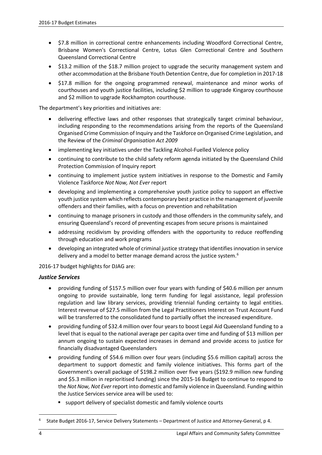- \$7.8 million in correctional centre enhancements including Woodford Correctional Centre, Brisbane Women's Correctional Centre, Lotus Glen Correctional Centre and Southern Queensland Correctional Centre
- \$13.2 million of the \$18.7 million project to upgrade the security management system and other accommodation at the Brisbane Youth Detention Centre, due for completion in 2017-18
- \$17.8 million for the ongoing programmed renewal, maintenance and minor works of courthouses and youth justice facilities, including \$2 million to upgrade Kingaroy courthouse and \$2 million to upgrade Rockhampton courthouse.

The department's key priorities and initiatives are:

- delivering effective laws and other responses that strategically target criminal behaviour, including responding to the recommendations arising from the reports of the Queensland Organised Crime Commission of Inquiry and the Taskforce on Organised Crime Legislation, and the Review of the *Criminal Organisation Act 2009*
- implementing key initiatives under the Tackling Alcohol-Fuelled Violence policy
- continuing to contribute to the child safety reform agenda initiated by the Queensland Child Protection Commission of Inquiry report
- continuing to implement justice system initiatives in response to the Domestic and Family Violence Taskforce *Not Now, Not Ever* report
- developing and implementing a comprehensive youth justice policy to support an effective youth justice system which reflects contemporary best practice in the management of juvenile offenders and their families, with a focus on prevention and rehabilitation
- continuing to manage prisoners in custody and those offenders in the community safely, and ensuring Queensland's record of preventing escapes from secure prisons is maintained
- addressing recidivism by providing offenders with the opportunity to reduce reoffending through education and work programs
- developing an integrated whole of criminal justice strategy that identifies innovation in service delivery and a model to better manage demand across the justice system.<sup>[6](#page-13-0)</sup>

2016-17 budget highlights for DJAG are:

#### *Justice Services*

- providing funding of \$157.5 million over four years with funding of \$40.6 million per annum ongoing to provide sustainable, long term funding for legal assistance, legal profession regulation and law library services, providing triennial funding certainty to legal entities. Interest revenue of \$27.5 million from the Legal Practitioners Interest on Trust Account Fund will be transferred to the consolidated fund to partially offset the increased expenditure.
- providing funding of \$32.4 million over four years to boost Legal Aid Queensland funding to a level that is equal to the national average per capita over time and funding of \$13 million per annum ongoing to sustain expected increases in demand and provide access to justice for financially disadvantaged Queenslanders
- providing funding of \$54.6 million over four years (including \$5.6 million capital) across the department to support domestic and family violence initiatives. This forms part of the Government's overall package of \$198.2 million over five years (\$192.9 million new funding and \$5.3 million in reprioritised funding) since the 2015-16 Budget to continue to respond to the *Not Now, Not Ever* report into domestic and family violence in Queensland. Funding within the Justice Services service area will be used to:
	- support delivery of specialist domestic and family violence courts

<span id="page-13-0"></span><sup>6</sup> State Budget 2016-17, Service Delivery Statements – Department of Justice and Attorney-General, p 4.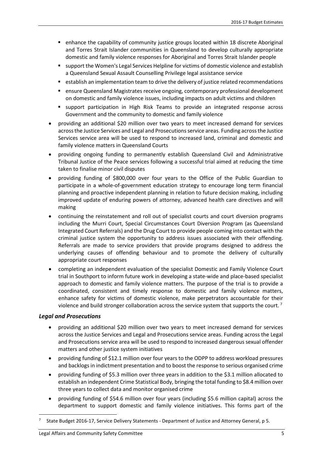- enhance the capability of community justice groups located within 18 discrete Aboriginal and Torres Strait Islander communities in Queensland to develop culturally appropriate domestic and family violence responses for Aboriginal and Torres Strait Islander people
- **support the Women's Legal Services Helpline for victims of domestic violence and establish** a Queensland Sexual Assault Counselling Privilege legal assistance service
- **EX EXECT 2** establish an implementation team to drive the delivery of justice related recommendations
- **EX ensure Queensland Magistrates receive ongoing, contemporary professional development** on domestic and family violence issues, including impacts on adult victims and children
- **Example 1** support participation in High Risk Teams to provide an integrated response across Government and the community to domestic and family violence
- providing an additional \$20 million over two years to meet increased demand for services across the Justice Services and Legal and Prosecutions service areas. Funding across the Justice Services service area will be used to respond to increased land, criminal and domestic and family violence matters in Queensland Courts
- providing ongoing funding to permanently establish Queensland Civil and Administrative Tribunal Justice of the Peace services following a successful trial aimed at reducing the time taken to finalise minor civil disputes
- providing funding of \$800,000 over four years to the Office of the Public Guardian to participate in a whole-of-government education strategy to encourage long term financial planning and proactive independent planning in relation to future decision making, including improved update of enduring powers of attorney, advanced health care directives and will making
- continuing the reinstatement and roll out of specialist courts and court diversion programs including the Murri Court, Special Circumstances Court Diversion Program (as Queensland Integrated Court Referrals) and the Drug Court to provide people coming into contact with the criminal justice system the opportunity to address issues associated with their offending. Referrals are made to service providers that provide programs designed to address the underlying causes of offending behaviour and to promote the delivery of culturally appropriate court responses
- completing an independent evaluation of the specialist Domestic and Family Violence Court trial in Southport to inform future work in developing a state-wide and place-based specialist approach to domestic and family violence matters. The purpose of the trial is to provide a coordinated, consistent and timely response to domestic and family violence matters, enhance safety for victims of domestic violence, make perpetrators accountable for their violence and build stronger collaboration across the service system that supports the court.<sup>[7](#page-14-0)</sup>

## *Legal and Prosecutions*

- providing an additional \$20 million over two years to meet increased demand for services across the Justice Services and Legal and Prosecutions service areas. Funding across the Legal and Prosecutions service area will be used to respond to increased dangerous sexual offender matters and other justice system initiatives
- providing funding of \$12.1 million over four years to the ODPP to address workload pressures and backlogs in indictment presentation and to boost the response to serious organised crime
- providing funding of \$5.3 million over three years in addition to the \$3.1 million allocated to establish an independent Crime Statistical Body, bringing the total funding to \$8.4 million over three years to collect data and monitor organised crime
- providing funding of \$54.6 million over four years (including \$5.6 million capital) across the department to support domestic and family violence initiatives. This forms part of the

<span id="page-14-0"></span><sup>7</sup> State Budget 2016-17, Service Delivery Statements - Department of Justice and Attorney General, p 5.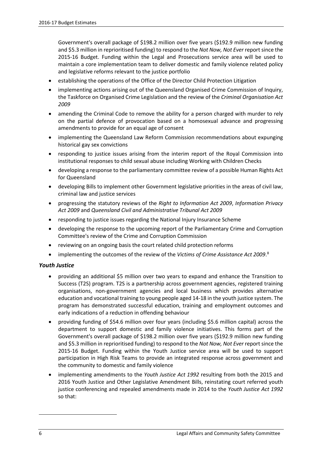Government's overall package of \$198.2 million over five years (\$192.9 million new funding and \$5.3 million in reprioritised funding) to respond to the *Not Now, Not Ever* report since the 2015-16 Budget. Funding within the Legal and Prosecutions service area will be used to maintain a core implementation team to deliver domestic and family violence related policy and legislative reforms relevant to the justice portfolio

- establishing the operations of the Office of the Director Child Protection Litigation
- implementing actions arising out of the Queensland Organised Crime Commission of Inquiry, the Taskforce on Organised Crime Legislation and the review of the *Criminal Organisation Act 2009*
- amending the Criminal Code to remove the ability for a person charged with murder to rely on the partial defence of provocation based on a homosexual advance and progressing amendments to provide for an equal age of consent
- implementing the Queensland Law Reform Commission recommendations about expunging historical gay sex convictions
- responding to justice issues arising from the interim report of the Royal Commission into institutional responses to child sexual abuse including Working with Children Checks
- developing a response to the parliamentary committee review of a possible Human Rights Act for Queensland
- developing Bills to implement other Government legislative priorities in the areas of civil law, criminal law and justice services
- progressing the statutory reviews of the *Right to Information Act 2009*, *Information Privacy Act 2009* and *Queensland Civil and Administrative Tribunal Act 2009*
- responding to justice issues regarding the National Injury Insurance Scheme
- developing the response to the upcoming report of the Parliamentary Crime and Corruption Committee's review of the Crime and Corruption Commission
- reviewing on an ongoing basis the court related child protection reforms
- implementing the outcomes of the review of the *Victims of Crime Assistance Act 2009*. [8](#page-15-0)

#### *Youth Justice*

- providing an additional \$5 million over two years to expand and enhance the Transition to Success (T2S) program. T2S is a partnership across government agencies, registered training organisations, non-government agencies and local business which provides alternative education and vocational training to young people aged 14-18 in the youth justice system. The program has demonstrated successful education, training and employment outcomes and early indications of a reduction in offending behaviour
- providing funding of \$54.6 million over four years (including \$5.6 million capital) across the department to support domestic and family violence initiatives. This forms part of the Government's overall package of \$198.2 million over five years (\$192.9 million new funding and \$5.3 million in reprioritised funding) to respond to the *Not Now, Not Ever* report since the 2015-16 Budget. Funding within the Youth Justice service area will be used to support participation in High Risk Teams to provide an integrated response across government and the community to domestic and family violence
- <span id="page-15-0"></span>• implementing amendments to the *Youth Justice Act 1992* resulting from both the 2015 and 2016 Youth Justice and Other Legislative Amendment Bills, reinstating court referred youth justice conferencing and repealed amendments made in 2014 to the *Youth Justice Act 1992*  so that: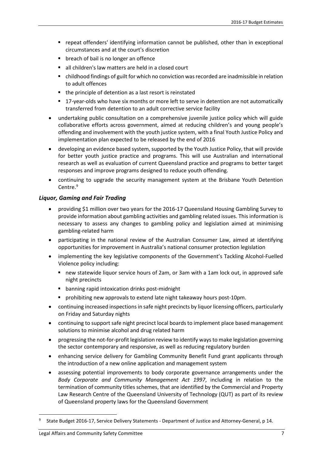- repeat offenders' identifying information cannot be published, other than in exceptional circumstances and at the court's discretion
- **•** breach of bail is no longer an offence
- all children's law matters are held in a closed court
- childhood findings of guilt for which no conviction was recorded are inadmissible in relation to adult offences
- the principle of detention as a last resort is reinstated
- 17-year-olds who have six months or more left to serve in detention are not automatically transferred from detention to an adult corrective service facility
- undertaking public consultation on a comprehensive juvenile justice policy which will guide collaborative efforts across government, aimed at reducing children's and young people's offending and involvement with the youth justice system, with a final Youth Justice Policy and implementation plan expected to be released by the end of 2016
- developing an evidence based system, supported by the Youth Justice Policy, that will provide for better youth justice practice and programs. This will use Australian and international research as well as evaluation of current Queensland practice and programs to better target responses and improve programs designed to reduce youth offending.
- continuing to upgrade the security management system at the Brisbane Youth Detention Centre. [9](#page-16-0)

# *Liquor, Gaming and Fair Trading*

- providing \$1 million over two years for the 2016-17 Queensland Housing Gambling Survey to provide information about gambling activities and gambling related issues. This information is necessary to assess any changes to gambling policy and legislation aimed at minimising gambling-related harm
- participating in the national review of the Australian Consumer Law, aimed at identifying opportunities for improvement in Australia's national consumer protection legislation
- implementing the key legislative components of the Government's Tackling Alcohol-Fuelled Violence policy including:
	- new statewide liquor service hours of 2am, or 3am with a 1am lock out, in approved safe night precincts
	- **•** banning rapid intoxication drinks post-midnight
	- prohibiting new approvals to extend late night takeaway hours post-10pm.
- continuing increased inspections in safe night precincts by liquor licensing officers, particularly on Friday and Saturday nights
- continuing to support safe night precinct local boards to implement place based management solutions to minimise alcohol and drug related harm
- progressing the not-for-profit legislation review to identify ways to make legislation governing the sector contemporary and responsive, as well as reducing regulatory burden
- enhancing service delivery for Gambling Community Benefit Fund grant applicants through the introduction of a new online application and management system
- assessing potential improvements to body corporate governance arrangements under the *Body Corporate and Community Management Act 1997*, including in relation to the termination of community titles schemes, that are identified by the Commercial and Property Law Research Centre of the Queensland University of Technology (QUT) as part of its review of Queensland property laws for the Queensland Government

<span id="page-16-0"></span><sup>9</sup> State Budget 2016-17, Service Delivery Statements - Department of Justice and Attorney-General, p 14.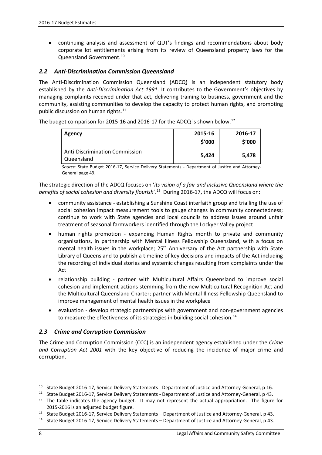• continuing analysis and assessment of QUT's findings and recommendations about body corporate lot entitlements arising from its review of Queensland property laws for the Queensland Government.<sup>[10](#page-17-2)</sup>

## <span id="page-17-0"></span>*2.2 Anti-Discrimination Commission Queensland*

The Anti-Discrimination Commission Queensland (ADCQ) is an independent statutory body established by the *Anti-Discrimination Act 1991*. It contributes to the Government's objectives by managing complaints received under that act*,* delivering training to business, government and the community, assisting communities to develop the capacity to protect human rights, and promoting public discussion on human rights.<sup>[11](#page-17-3)</sup>

The budget comparison for 2015-16 and 2016-17 for the ADCQ is shown below.<sup>[12](#page-17-4)</sup>

| Agency                                              | 2015-16<br>\$'000 | 2016-17<br>\$'000 |
|-----------------------------------------------------|-------------------|-------------------|
| <b>Anti-Discrimination Commission</b><br>Queensland | 5.424             | 5,478             |

*Source*: State Budget 2016-17, Service Delivery Statements - Department of Justice and Attorney-General page 49.

The strategic direction of the ADCQ focuses on '*its vision of a fair and inclusive Queensland where the benefits of social cohesion and diversity flourish*'.[13](#page-17-5) During 2016-17, the ADCQ will focus on:

- community assistance establishing a Sunshine Coast interfaith group and trialling the use of social cohesion impact measurement tools to gauge changes in community connectedness; continue to work with State agencies and local councils to address issues around unfair treatment of seasonal farmworkers identified through the Lockyer Valley project
- human rights promotion expanding Human Rights month to private and community organisations, in partnership with Mental Illness Fellowship Queensland, with a focus on mental health issues in the workplace; 25<sup>th</sup> Anniversary of the Act partnership with State Library of Queensland to publish a timeline of key decisions and impacts of the Act including the recording of individual stories and systemic changes resulting from complaints under the Act
- relationship building partner with Multicultural Affairs Queensland to improve social cohesion and implement actions stemming from the new Multicultural Recognition Act and the Multicultural Queensland Charter; partner with Mental Illness Fellowship Queensland to improve management of mental health issues in the workplace
- evaluation develop strategic partnerships with government and non-government agencies to measure the effectiveness of its strategies in building social cohesion.<sup>[14](#page-17-6)</sup>

## <span id="page-17-1"></span>*2.3 Crime and Corruption Commission*

The Crime and Corruption Commission (CCC) is an independent agency established under the *Crime and Corruption Act 2001* with the key objective of reducing the incidence of major crime and corruption.

<u>.</u>

<span id="page-17-2"></span><sup>10</sup> State Budget 2016-17, Service Delivery Statements - Department of Justice and Attorney-General, p 16.

<span id="page-17-3"></span><sup>11</sup> State Budget 2016-17, Service Delivery Statements - Department of Justice and Attorney-General, p 43.

<span id="page-17-4"></span><sup>&</sup>lt;sup>12</sup> The table indicates the agency budget. It may not represent the actual appropriation. The figure for 2015-2016 is an adjusted budget figure.

<span id="page-17-5"></span><sup>13</sup> State Budget 2016-17, Service Delivery Statements – Department of Justice and Attorney-General, p 43.

<span id="page-17-6"></span><sup>14</sup> State Budget 2016-17, Service Delivery Statements – Department of Justice and Attorney-General, p 43.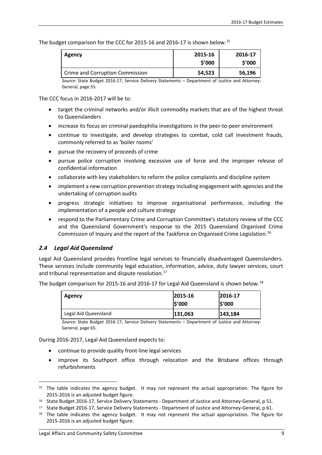The budget comparison for the CCC for 2015-16 and 2016-17 is shown below.[15](#page-18-1)

| Agency                          | 2015-16<br>\$'000 | 2016-17<br>\$′000 |
|---------------------------------|-------------------|-------------------|
| Crime and Corruption Commission | 54,523            | 56,196            |

*Source*: State Budget 2016-17, Service Delivery Statements – Department of Justice and Attorney-General, page 55.

The CCC focus in 2016-2017 will be to:

- target the criminal networks and/or illicit commodity markets that are of the highest threat to Queenslanders
- increase its focus on criminal paedophilia investigations in the peer-to-peer environment
- continue to investigate, and develop strategies to combat, cold call investment frauds, commonly referred to as 'boiler rooms'
- pursue the recovery of proceeds of crime
- pursue police corruption involving excessive use of force and the improper release of confidential information
- collaborate with key stakeholders to reform the police complaints and discipline system
- implement a new corruption prevention strategy including engagement with agencies and the undertaking of corruption audits
- progress strategic initiatives to improve organisational performance, including the implementation of a people and culture strategy
- respond to the Parliamentary Crime and Corruption Committee's statutory review of the CCC and the Queensland Government's response to the 2015 Queensland Organised Crime Commission of Inquiry and the report of the Taskforce on Organised Crime Legislation.<sup>[16](#page-18-2)</sup>

## <span id="page-18-0"></span>*2.4 Legal Aid Queensland*

Legal Aid Queensland provides frontline legal services to financially disadvantaged Queenslanders. These services include community legal education, information, advice, duty lawyer services, court and tribunal representation and dispute resolution.<sup>[17](#page-18-3)</sup>

The budget comparison for 2015-16 and 2016-17 for Legal Aid Queensland is shown below.<sup>[18](#page-18-4)</sup>

| Agency               | 2015-16<br>\$'000 | $ 2016-17$<br>\$'000 |
|----------------------|-------------------|----------------------|
| Legal Aid Queensland | 131,063           | 143, 184             |

*Source*: State Budget 2016-17, Service Delivery Statements – Department of Justice and Attorney-General, page 65.

During 2016-2017, Legal Aid Queensland expects to:

- continue to provide quality front-line legal services
- improve its Southport office through relocation and the Brisbane offices through refurbishments

<span id="page-18-1"></span><sup>15</sup> The table indicates the agency budget. It may not represent the actual appropriation. The figure for 2015-2016 is an adjusted budget figure.

<span id="page-18-2"></span><sup>16</sup> State Budget 2016-17, Service Delivery Statements - Department of Justice and Attorney-General, p 51.

<span id="page-18-3"></span><sup>17</sup> State Budget 2016-17, Service Delivery Statements - Department of Justice and Attorney-General, p 61.

<span id="page-18-4"></span><sup>&</sup>lt;sup>18</sup> The table indicates the agency budget. It may not represent the actual appropriation. The figure for 2015-2016 is an adjusted budget figure.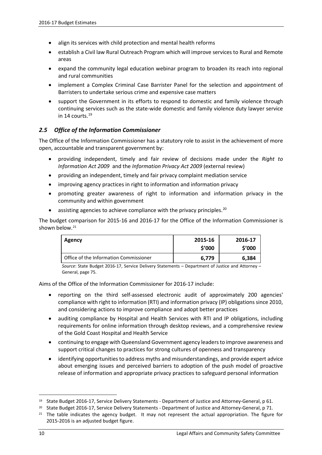- align its services with child protection and mental health reforms
- establish a Civil law Rural Outreach Program which will improve services to Rural and Remote areas
- expand the community legal education webinar program to broaden its reach into regional and rural communities
- implement a Complex Criminal Case Barrister Panel for the selection and appointment of Barristers to undertake serious crime and expensive case matters
- support the Government in its efforts to respond to domestic and family violence through continuing services such as the state-wide domestic and family violence duty lawyer service in 14 courts. [19](#page-19-1)

# <span id="page-19-0"></span>*2.5 Office of the Information Commissioner*

The Office of the Information Commissioner has a statutory role to assist in the achievement of more open, accountable and transparent government by:

- providing independent, timely and fair review of decisions made under the *Right to Information Act 2009* and the *Information Privacy Act 2009* (external review)
- providing an independent, timely and fair privacy complaint mediation service
- improving agency practices in right to information and information privacy
- promoting greater awareness of right to information and information privacy in the community and within government
- assisting agencies to achieve compliance with the privacy principles. $20$

The budget comparison for 2015-16 and 2016-17 for the Office of the Information Commissioner is shown below.<sup>[21](#page-19-3)</sup>

| Agency                                 | 2015-16<br>\$'000 | 2016-17<br>\$'000 |
|----------------------------------------|-------------------|-------------------|
| Office of the Information Commissioner | 6.779             | 6.384             |

*Source*: State Budget 2016-17, Service Delivery Statements – Department of Justice and Attorney – General, page 75.

Aims of the Office of the Information Commissioner for 2016-17 include:

- reporting on the third self-assessed electronic audit of approximately 200 agencies' compliance with right to information (RTI) and information privacy (IP) obligations since 2010, and considering actions to improve compliance and adopt better practices
- auditing compliance by Hospital and Health Services with RTI and IP obligations, including requirements for online information through desktop reviews, and a comprehensive review of the Gold Coast Hospital and Health Service
- continuing to engage with Queensland Government agency leaders to improve awareness and support critical changes to practices for strong cultures of openness and transparency
- identifying opportunities to address myths and misunderstandings, and provide expert advice about emerging issues and perceived barriers to adoption of the push model of proactive release of information and appropriate privacy practices to safeguard personal information

<u>.</u>

<span id="page-19-1"></span><sup>&</sup>lt;sup>19</sup> State Budget 2016-17, Service Delivery Statements - Department of Justice and Attorney-General, p 61.<br><sup>20</sup> State Budget 2016-17, Service Delivery Statements - Department of Justice and Attorney-General, p 71.

<span id="page-19-3"></span><span id="page-19-2"></span><sup>&</sup>lt;sup>21</sup> The table indicates the agency budget. It may not represent the actual appropriation. The figure for 2015-2016 is an adjusted budget figure.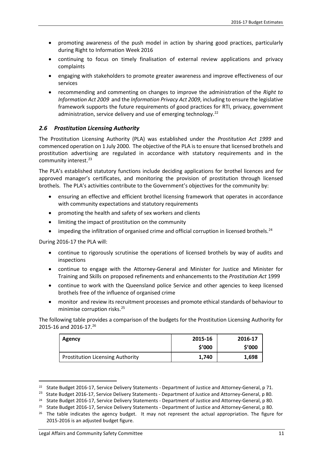- promoting awareness of the push model in action by sharing good practices, particularly during Right to Information Week 2016
- continuing to focus on timely finalisation of external review applications and privacy complaints
- engaging with stakeholders to promote greater awareness and improve effectiveness of our services
- recommending and commenting on changes to improve the administration of the *Right to Information Act 2009* and the *Information Privacy Act 2009*, including to ensure the legislative framework supports the future requirements of good practices for RTI, privacy, government administration, service delivery and use of emerging technology.<sup>[22](#page-20-1)</sup>

# <span id="page-20-0"></span>*2.6 Prostitution Licensing Authority*

The Prostitution Licensing Authority (PLA) was established under the *Prostitution Act 1999* and commenced operation on 1 July 2000. The objective of the PLA is to ensure that licensed brothels and prostitution advertising are regulated in accordance with statutory requirements and in the community interest.[23](#page-20-2)

The PLA's established statutory functions include deciding applications for brothel licences and for approved manager's certificates, and monitoring the provision of prostitution through licensed brothels. The PLA's activities contribute to the Government's objectives for the community by:

- ensuring an effective and efficient brothel licensing framework that operates in accordance with community expectations and statutory requirements
- promoting the health and safety of sex workers and clients
- limiting the impact of prostitution on the community
- impeding the infiltration of organised crime and official corruption in licensed brothels.<sup>[24](#page-20-3)</sup>

## During 2016-17 the PLA will:

<u>.</u>

- continue to rigorously scrutinise the operations of licensed brothels by way of audits and inspections
- continue to engage with the Attorney-General and Minister for Justice and Minister for Training and Skills on proposed refinements and enhancements to the *Prostitution Act* 1999
- continue to work with the Queensland police Service and other agencies to keep licensed brothels free of the influence of organised crime
- monitor and review its recruitment processes and promote ethical standards of behaviour to minimise corruption risks. [25](#page-20-4)

The following table provides a comparison of the budgets for the Prostitution Licensing Authority for 2015-16 and 2016-17. [26](#page-20-5)

| Agency                                  | 2015-16 | 2016-17 |
|-----------------------------------------|---------|---------|
|                                         | \$'000  | \$′000  |
| <b>Prostitution Licensing Authority</b> | 1,740   | 1,698   |

<span id="page-20-1"></span><sup>&</sup>lt;sup>22</sup> State Budget 2016-17, Service Delivery Statements - Department of Justice and Attorney-General, p 71.

<span id="page-20-2"></span><sup>&</sup>lt;sup>23</sup> State Budget 2016-17, Service Delivery Statements - Department of Justice and Attorney-General, p 80.

<span id="page-20-3"></span><sup>&</sup>lt;sup>24</sup> State Budget 2016-17, Service Delivery Statements - Department of Justice and Attorney-General, p 80.

<span id="page-20-4"></span><sup>&</sup>lt;sup>25</sup> State Budget 2016-17, Service Delivery Statements - Department of Justice and Attorney-General, p 80.

<span id="page-20-5"></span><sup>&</sup>lt;sup>26</sup> The table indicates the agency budget. It may not represent the actual appropriation. The figure for 2015-2016 is an adjusted budget figure.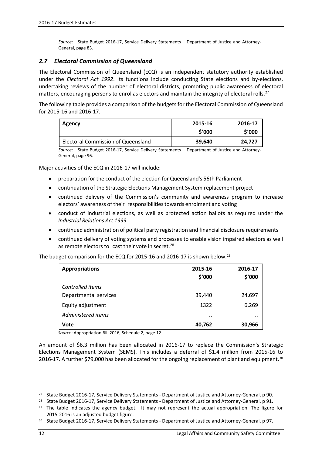*Source*: State Budget 2016-17, Service Delivery Statements – Department of Justice and Attorney-General, page 83.

## <span id="page-21-0"></span>*2.7 Electoral Commission of Queensland*

The Electoral Commission of Queensland (ECQ) is an independent statutory authority established under the *Electoral Act 1992*. Its functions include conducting State elections and by-elections, undertaking reviews of the number of electoral districts, promoting public awareness of electoral matters, encouraging persons to enrol as electors and maintain the integrity of electoral rolls.<sup>[27](#page-21-1)</sup>

The following table provides a comparison of the budgets for the Electoral Commission of Queensland for 2015-16 and 2016-17.

| Agency                             | 2015-16<br>\$′000 | 2016-17<br>\$′000 |
|------------------------------------|-------------------|-------------------|
| Electoral Commission of Queensland | 39,640            | 24.727            |

*Source*: State Budget 2016-17, Service Delivery Statements – Department of Justice and Attorney-General, page 96.

Major activities of the ECQ in 2016-17 will include:

- preparation for the conduct of the election for Queensland's 56th Parliament
- continuation of the Strategic Elections Management System replacement project
- continued delivery of the Commission's community and awareness program to increase electors' awareness of their responsibilities towards enrolment and voting
- conduct of industrial elections, as well as protected action ballots as required under the *Industrial Relations Act 1999*
- continued administration of political party registration and financial disclosure requirements
- continued delivery of voting systems and processes to enable vision impaired electors as well as remote electors to cast their vote in secret.<sup>[28](#page-21-2)</sup>

The budget comparison for the ECQ for 2015-16 and 2016-17 is shown below.[29](#page-21-3)

| <b>Appropriations</b> | 2015-16<br>\$'000 | 2016-17<br>\$'000 |
|-----------------------|-------------------|-------------------|
| Controlled items      |                   |                   |
| Departmental services | 39,440            | 24,697            |
| Equity adjustment     | 1322              | 6,269             |
| Administered items    |                   | $\cdot$ .         |
| Vote                  | 40,762            | 30,966            |

*Source:* Appropriation Bill 2016, Schedule 2, page 12.

An amount of \$6.3 million has been allocated in 2016-17 to replace the Commission's Strategic Elections Management System (SEMS). This includes a deferral of \$1.4 million from 2015-16 to 2016-17. A further \$79,000 has been allocated for the ongoing replacement of plant and equipment.[30](#page-21-4)

<span id="page-21-1"></span><sup>27</sup> State Budget 2016-17, Service Delivery Statements - Department of Justice and Attorney-General, p 90.

<span id="page-21-2"></span><sup>&</sup>lt;sup>28</sup> State Budget 2016-17, Service Delivery Statements - Department of Justice and Attorney-General, p 91.

<span id="page-21-3"></span><sup>&</sup>lt;sup>29</sup> The table indicates the agency budget. It may not represent the actual appropriation. The figure for 2015-2016 is an adjusted budget figure.

<span id="page-21-4"></span><sup>&</sup>lt;sup>30</sup> State Budget 2016-17, Service Delivery Statements - Department of Justice and Attorney-General, p 97.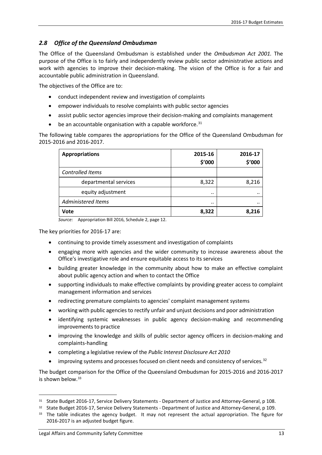## <span id="page-22-0"></span>*2.8 Office of the Queensland Ombudsman*

The Office of the Queensland Ombudsman is established under the *Ombudsman Act 2001.* The purpose of the Office is to fairly and independently review public sector administrative actions and work with agencies to improve their decision-making. The vision of the Office is for a fair and accountable public administration in Queensland.

The objectives of the Office are to:

- conduct independent review and investigation of complaints
- empower individuals to resolve complaints with public sector agencies
- assist public sector agencies improve their decision-making and complaints management
- $\bullet$  be an accountable organisation with a capable workforce.<sup>[31](#page-22-1)</sup>

The following table compares the appropriations for the Office of the Queensland Ombudsman for 2015-2016 and 2016-2017.

| <b>Appropriations</b> | 2015-16<br>\$'000 | 2016-17<br>\$'000 |
|-----------------------|-------------------|-------------------|
| Controlled Items      |                   |                   |
| departmental services | 8,322             | 8,216             |
| equity adjustment     | $\cdot$ .         |                   |
| Administered Items    |                   |                   |
| <b>Vote</b>           | 8,322             | 8,216             |

*Source:* Appropriation Bill 2016, Schedule 2, page 12.

The key priorities for 2016-17 are:

- continuing to provide timely assessment and investigation of complaints
- engaging more with agencies and the wider community to increase awareness about the Office's investigative role and ensure equitable access to its services
- building greater knowledge in the community about how to make an effective complaint about public agency action and when to contact the Office
- supporting individuals to make effective complaints by providing greater access to complaint management information and services
- redirecting premature complaints to agencies' complaint management systems
- working with public agencies to rectify unfair and unjust decisions and poor administration
- identifying systemic weaknesses in public agency decision-making and recommending improvements to practice
- improving the knowledge and skills of public sector agency officers in decision-making and complaints-handling
- completing a legislative review of the *Public Interest Disclosure Act 2010*
- improving systems and processes focused on client needs and consistency of services.<sup>[32](#page-22-2)</sup>

The budget comparison for the Office of the Queensland Ombudsman for 2015-2016 and 2016-2017 is shown below.<sup>[33](#page-22-3)</sup>

<u>.</u>

<span id="page-22-1"></span><sup>&</sup>lt;sup>31</sup> State Budget 2016-17, Service Delivery Statements - Department of Justice and Attorney-General, p 108.

<span id="page-22-2"></span><sup>32</sup> State Budget 2016-17, Service Delivery Statements - Department of Justice and Attorney-General, p 109.

<span id="page-22-3"></span><sup>&</sup>lt;sup>33</sup> The table indicates the agency budget. It may not represent the actual appropriation. The figure for 2016-2017 is an adjusted budget figure.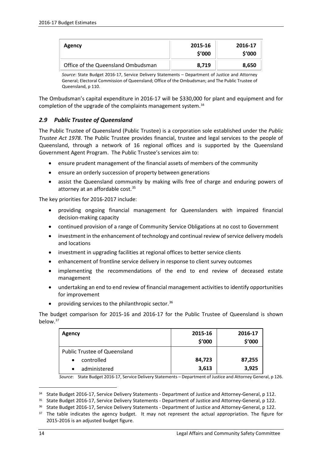| Agency                             | 2015-16<br>\$′000 | 2016-17<br>\$'000 |
|------------------------------------|-------------------|-------------------|
| Office of the Queensland Ombudsman | 8,719             | 8,650             |

*Source*: State Budget 2016-17, Service Delivery Statements – Department of Justice and Attorney General; Electoral Commission of Queensland; Office of the Ombudsman; and The Public Trustee of Queensland, p 110.

The Ombudsman's capital expenditure in 2016-17 will be \$330,000 for plant and equipment and for completion of the upgrade of the complaints management system. [34](#page-23-1)

# <span id="page-23-0"></span>*2.9 Public Trustee of Queensland*

The Public Trustee of Queensland (Public Trustee) is a corporation sole established under the *Public Trustee Act 1978*. The Public Trustee provides financial, trustee and legal services to the people of Queensland, through a network of 16 regional offices and is supported by the Queensland Government Agent Program. The Public Trustee's services aim to:

- ensure prudent management of the financial assets of members of the community
- ensure an orderly succession of property between generations
- assist the Queensland community by making wills free of charge and enduring powers of attorney at an affordable cost.<sup>[35](#page-23-2)</sup>

The key priorities for 2016-2017 include:

- providing ongoing financial management for Queenslanders with impaired financial decision-making capacity
- continued provision of a range of Community Service Obligations at no cost to Government
- investment in the enhancement of technology and continual review of service delivery models and locations
- investment in upgrading facilities at regional offices to better service clients
- enhancement of frontline service delivery in response to client survey outcomes
- implementing the recommendations of the end to end review of deceased estate management
- undertaking an end to end review of financial management activities to identify opportunities for improvement
- providing services to the philanthropic sector.<sup>[36](#page-23-3)</sup>

The budget comparison for 2015-16 and 2016-17 for the Public Trustee of Queensland is shown below.[37](#page-23-4)

| Agency                              | 2015-16<br>\$'000 | 2016-17<br>\$'000 |
|-------------------------------------|-------------------|-------------------|
| <b>Public Trustee of Queensland</b> |                   |                   |
| controlled<br>$\bullet$             | 84,723            | 87,255            |
| administered                        | 3,613             | 3,925             |

*Source*: State Budget 2016-17, Service Delivery Statements – Department of Justice and Attorney General, p 126.

<span id="page-23-1"></span><sup>&</sup>lt;sup>34</sup> State Budget 2016-17, Service Delivery Statements - Department of Justice and Attorney-General, p 112.

<span id="page-23-2"></span><sup>&</sup>lt;sup>35</sup> State Budget 2016-17, Service Delivery Statements - Department of Justice and Attorney-General, p 122.

<span id="page-23-3"></span><sup>&</sup>lt;sup>36</sup> State Budget 2016-17, Service Delivery Statements - Department of Justice and Attorney-General, p 122.

<span id="page-23-4"></span><sup>&</sup>lt;sup>37</sup> The table indicates the agency budget. It may not represent the actual appropriation. The figure for 2015-2016 is an adjusted budget figure.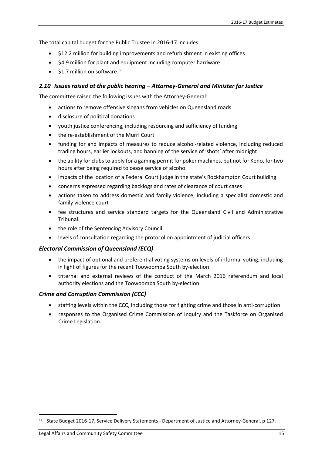The total capital budget for the Public Trustee in 2016-17 includes:

- \$12.2 million for building improvements and refurbishment in existing offices
- \$4.9 million for plant and equipment including computer hardware
- $\bullet$  \$1.7 million on software.<sup>[38](#page-24-1)</sup>

#### <span id="page-24-0"></span>*2.10 Issues raised at the public hearing – Attorney-General and Minister for Justice*

The committee raised the following issues with the Attorney-General:

- actions to remove offensive slogans from vehicles on Queensland roads
- disclosure of political donations
- youth justice conferencing, including resourcing and sufficiency of funding
- the re-establishment of the Murri Court
- funding for and impacts of measures to reduce alcohol-related violence, including reduced trading hours, earlier lockouts, and banning of the service of 'shots' after midnight
- the ability for clubs to apply for a gaming permit for poker machines, but not for Keno, for two hours after being required to cease service of alcohol
- impacts of the location of a Federal Court judge in the state's Rockhampton Court building
- concerns expressed regarding backlogs and rates of clearance of court cases
- actions taken to address domestic and family violence, including a specialist domestic and family violence court
- fee structures and service standard targets for the Queensland Civil and Administrative Tribunal.
- the role of the Sentencing Advisory Council
- levels of consultation regarding the protocol on appointment of judicial officers.

#### *Electoral Commission of Queensland (ECQ)*

- the impact of optional and preferential voting systems on levels of informal voting, including in light of figures for the recent Toowoomba South by-election
- tnternal and external reviews of the conduct of the March 2016 referendum and local authority elections and the Toowoomba South by-election.

#### *Crime and Corruption Commission (CCC)*

- staffing levels within the CCC, including those for fighting crime and those in anti-corruption
- responses to the Organised Crime Commission of Inquiry and the Taskforce on Organised Crime Legislation.

<span id="page-24-1"></span><sup>&</sup>lt;sup>38</sup> State Budget 2016-17, Service Delivery Statements - Department of Justice and Attorney-General, p 127.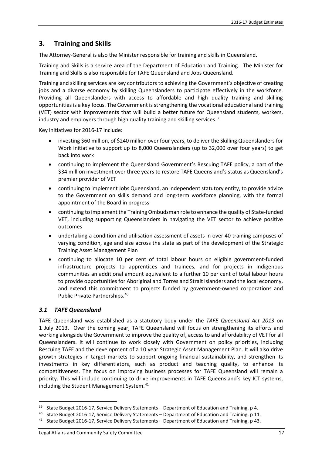# <span id="page-26-0"></span>**3. Training and Skills**

The Attorney-General is also the Minister responsible for training and skills in Queensland.

Training and Skills is a service area of the Department of Education and Training. The Minister for Training and Skills is also responsible for TAFE Queensland and Jobs Queensland.

Training and skilling services are key contributors to achieving the Government's objective of creating jobs and a diverse economy by skilling Queenslanders to participate effectively in the workforce. Providing all Queenslanders with access to affordable and high quality training and skilling opportunities is a key focus. The Government is strengthening the vocational educational and training (VET) sector with improvements that will build a better future for Queensland students, workers, industry and employers through high quality training and skilling services.<sup>[39](#page-26-2)</sup>

Key initiatives for 2016-17 include:

- investing \$60 million, of \$240 million over four years, to deliver the Skilling Queenslanders for Work initiative to support up to 8,000 Queenslanders (up to 32,000 over four years) to get back into work
- continuing to implement the Queensland Government's Rescuing TAFE policy, a part of the \$34 million investment over three years to restore TAFE Queensland's status as Queensland's premier provider of VET
- continuing to implement Jobs Queensland, an independent statutory entity, to provide advice to the Government on skills demand and long-term workforce planning, with the formal appointment of the Board in progress
- continuing to implement the Training Ombudsman role to enhance the quality of State-funded VET, including supporting Queenslanders in navigating the VET sector to achieve positive outcomes
- undertaking a condition and utilisation assessment of assets in over 40 training campuses of varying condition, age and size across the state as part of the development of the Strategic Training Asset Management Plan
- continuing to allocate 10 per cent of total labour hours on eligible government-funded infrastructure projects to apprentices and trainees, and for projects in Indigenous communities an additional amount equivalent to a further 10 per cent of total labour hours to provide opportunities for Aboriginal and Torres and Strait Islanders and the local economy, and extend this commitment to projects funded by government-owned corporations and Public Private Partnerships.[40](#page-26-3)

## <span id="page-26-1"></span>*3.1 TAFE Queensland*

-

TAFE Queensland was established as a statutory body under the *TAFE Queensland Act 2013* on 1 July 2013. Over the coming year, TAFE Queensland will focus on strengthening its efforts and working alongside the Government to improve the quality of, access to and affordability of VET for all Queenslanders. It will continue to work closely with Government on policy priorities, including Rescuing TAFE and the development of a 10 year Strategic Asset Management Plan. It will also drive growth strategies in target markets to support ongoing financial sustainability, and strengthen its investments in key differentiators, such as product and teaching quality, to enhance its competitiveness. The focus on improving business processes for TAFE Queensland will remain a priority. This will include continuing to drive improvements in TAFE Queensland's key ICT systems, including the Student Management System.<sup>[41](#page-26-4)</sup>

<span id="page-26-2"></span><sup>&</sup>lt;sup>39</sup> State Budget 2016-17, Service Delivery Statements – Department of Education and Training, p 4.

<span id="page-26-3"></span><sup>&</sup>lt;sup>40</sup> State Budget 2016-17, Service Delivery Statements – Department of Education and Training, p 11.

<span id="page-26-4"></span><sup>41</sup> State Budget 2016-17, Service Delivery Statements – Department of Education and Training, p 43.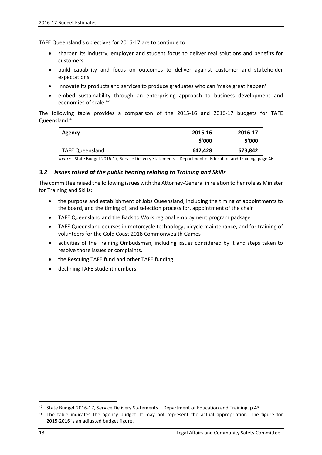TAFE Queensland's objectives for 2016-17 are to continue to:

- sharpen its industry, employer and student focus to deliver real solutions and benefits for customers
- build capability and focus on outcomes to deliver against customer and stakeholder expectations
- innovate its products and services to produce graduates who can 'make great happen'
- embed sustainability through an enterprising approach to business development and economies of scale.<sup>[42](#page-27-1)</sup>

The following table provides a comparison of the 2015-16 and 2016-17 budgets for TAFE Queensland.[43](#page-27-2)

| Agency                 | 2015-16<br>\$'000 | 2016-17<br>\$'000 |
|------------------------|-------------------|-------------------|
| <b>TAFE Queensland</b> | 642,428           | 673,842           |

*Source*: State Budget 2016-17, Service Delivery Statements – Department of Education and Training, page 46.

#### <span id="page-27-0"></span>*3.2 Issues raised at the public hearing relating to Training and Skills*

The committee raised the following issues with the Attorney-General in relation to her role as Minister for Training and Skills:

- the purpose and establishment of Jobs Queensland, including the timing of appointments to the board, and the timing of, and selection process for, appointment of the chair
- TAFE Queensland and the Back to Work regional employment program package
- TAFE Queensland courses in motorcycle technology, bicycle maintenance, and for training of volunteers for the Gold Coast 2018 Commonwealth Games
- activities of the Training Ombudsman, including issues considered by it and steps taken to resolve those issues or complaints.
- the Rescuing TAFE fund and other TAFE funding
- declining TAFE student numbers.

<span id="page-27-1"></span><sup>42</sup> State Budget 2016-17, Service Delivery Statements – Department of Education and Training, p 43.

<span id="page-27-2"></span><sup>43</sup> The table indicates the agency budget. It may not represent the actual appropriation. The figure for 2015-2016 is an adjusted budget figure.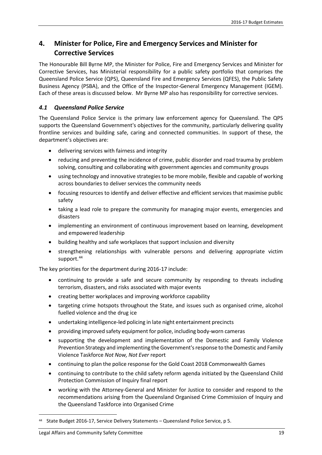# <span id="page-28-0"></span>**4. Minister for Police, Fire and Emergency Services and Minister for Corrective Services**

The Honourable Bill Byrne MP, the Minister for Police, Fire and Emergency Services and Minister for Corrective Services, has Ministerial responsibility for a public safety portfolio that comprises the Queensland Police Service (QPS), Queensland Fire and Emergency Services (QFES), the Public Safety Business Agency (PSBA), and the Office of the Inspector-General Emergency Management (IGEM). Each of these areas is discussed below. Mr Byrne MP also has responsibility for corrective services.

# <span id="page-28-1"></span>*4.1 Queensland Police Service*

The Queensland Police Service is the primary law enforcement agency for Queensland. The QPS supports the Queensland Government's objectives for the community, particularly delivering quality frontline services and building safe, caring and connected communities. In support of these, the department's objectives are:

- delivering services with fairness and integrity
- reducing and preventing the incidence of crime, public disorder and road trauma by problem solving, consulting and collaborating with government agencies and community groups
- using technology and innovative strategies to be more mobile, flexible and capable of working across boundaries to deliver services the community needs
- focusing resources to identify and deliver effective and efficient services that maximise public safety
- taking a lead role to prepare the community for managing major events, emergencies and disasters
- implementing an environment of continuous improvement based on learning, development and empowered leadership
- building healthy and safe workplaces that support inclusion and diversity
- strengthening relationships with vulnerable persons and delivering appropriate victim support.<sup>44</sup>

The key priorities for the department during 2016-17 include:

- continuing to provide a safe and secure community by responding to threats including terrorism, disasters, and risks associated with major events
- creating better workplaces and improving workforce capability
- targeting crime hotspots throughout the State, and issues such as organised crime, alcohol fuelled violence and the drug ice
- undertaking intelligence-led policing in late night entertainment precincts
- providing improved safety equipment for police, including body-worn cameras
- supporting the development and implementation of the Domestic and Family Violence Prevention Strategy and implementing the Government's response to the Domestic and Family Violence Taskforce *Not Now, Not Ever* report
- continuing to plan the police response for the Gold Coast 2018 Commonwealth Games
- continuing to contribute to the child safety reform agenda initiated by the Queensland Child Protection Commission of Inquiry final report
- working with the Attorney-General and Minister for Justice to consider and respond to the recommendations arising from the Queensland Organised Crime Commission of Inquiry and the Queensland Taskforce into Organised Crime

<span id="page-28-2"></span><sup>44</sup> State Budget 2016-17, Service Delivery Statements – Queensland Police Service, p 5.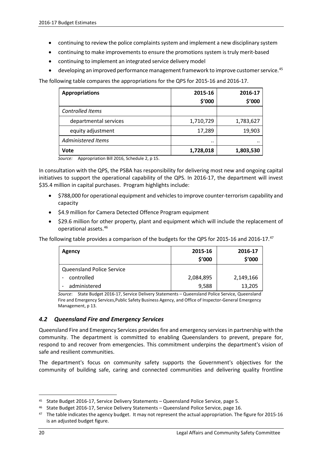- continuing to review the police complaints system and implement a new disciplinary system
- continuing to make improvements to ensure the promotions system is truly merit-based
- continuing to implement an integrated service delivery model
- developing an improved performance management framework to improve customer service.<sup>[45](#page-29-1)</sup>

The following table compares the appropriations for the QPS for 2015-16 and 2016-17.

| <b>Appropriations</b>     | 2015-16<br>\$'000 | 2016-17<br>\$'000 |
|---------------------------|-------------------|-------------------|
| <b>Controlled Items</b>   |                   |                   |
| departmental services     | 1,710,729         | 1,783,627         |
| equity adjustment         | 17,289            | 19,903            |
| <b>Administered Items</b> | $\cdot$ .         |                   |
| <b>Vote</b>               | 1,728,018         | 1,803,530         |

*Source:* Appropriation Bill 2016, Schedule 2, p 15.

In consultation with the QPS, the PSBA has responsibility for delivering most new and ongoing capital initiatives to support the operational capability of the QPS. In 2016-17, the department will invest \$35.4 million in capital purchases. Program highlights include:

- \$788,000 for operational equipment and vehicles to improve counter-terrorism capability and capacity
- \$4.9 million for Camera Detected Offence Program equipment
- \$29.6 million for other property, plant and equipment which will include the replacement of operational assets[.46](#page-29-2)

The following table provides a comparison of the budgets for the QPS for 2015-16 and 2016-17.<sup>[47](#page-29-3)</sup>

| Agency                                 | 2015-16<br>\$'000 | 2016-17<br>\$'000 |
|----------------------------------------|-------------------|-------------------|
| <b>Queensland Police Service</b>       |                   |                   |
| controlled<br>$\overline{\phantom{a}}$ | 2,084,895         | 2,149,166         |
| administered                           | 9,588             | 13,205            |

*Source*: State Budget 2016-17, Service Delivery Statements – Queensland Police Service, Queensland Fire and Emergency Services,Public Safety Business Agency, and Office of Inspector-General Emergency Management, p 13.

## <span id="page-29-0"></span>*4.2 Queensland Fire and Emergency Services*

Queensland Fire and Emergency Services provides fire and emergency services in partnership with the community. The department is committed to enabling Queenslanders to prevent, prepare for, respond to and recover from emergencies. This commitment underpins the department's vision of safe and resilient communities.

The department's focus on community safety supports the Government's objectives for the community of building safe, caring and connected communities and delivering quality frontline

<u>.</u>

<span id="page-29-1"></span><sup>45</sup> State Budget 2016-17, Service Delivery Statements – Queensland Police Service, page 5.

<span id="page-29-2"></span><sup>46</sup> State Budget 2016-17, Service Delivery Statements – Queensland Police Service, page 16.

<span id="page-29-3"></span><sup>&</sup>lt;sup>47</sup> The table indicates the agency budget. It may not represent the actual appropriation. The figure for 2015-16 is an adjusted budget figure.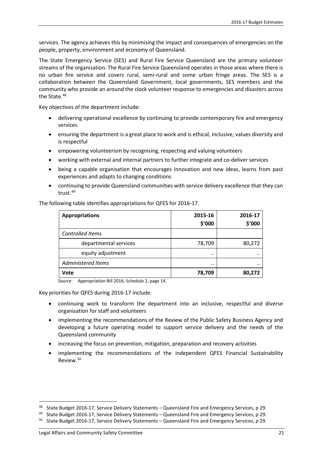services. The agency achieves this by minimising the impact and consequences of emergencies on the people, property, environment and economy of Queensland.

The State Emergency Service (SES) and Rural Fire Service Queensland are the primary volunteer streams of the organisation. The Rural Fire Service Queensland operates in those areas where there is no urban fire service and covers rural, semi-rural and some urban fringe areas. The SES is a collaboration between the Queensland Government, local governments, SES members and the community who provide an around the clock volunteer response to emergencies and disasters across the State. [48](#page-30-0)

Key objectives of the department include:

- delivering operational excellence by continuing to provide contemporary fire and emergency services
- ensuring the department is a great place to work and is ethical, inclusive, values diversity and is respectful
- empowering volunteerism by recognising, respecting and valuing volunteers
- working with external and internal partners to further integrate and co-deliver services
- being a capable organisation that encourages innovation and new ideas, learns from past experiences and adapts to changing conditions
- continuing to provide Queensland communities with service delivery excellence that they can trust.[49](#page-30-1)

The following table identifies appropriations for QFES for 2016-17.

| <b>Appropriations</b>   | 2015-16<br>\$'000 | 2016-17<br>\$'000 |
|-------------------------|-------------------|-------------------|
| <b>Controlled Items</b> |                   |                   |
| departmental services   | 78,709            | 80,272            |
| equity adjustment       | $\cdot$ .         |                   |
| Administered Items      | $\cdot$ .         |                   |
| Vote                    | 78,709            | 80,272            |

*Source:* Appropriation Bill 2016, Schedule 2, page 14.

Key priorities for QFES during 2016-17 include:

- continuing work to transform the department into an inclusive, respectful and diverse organisation for staff and volunteers
- implementing the recommendations of the Review of the Public Safety Business Agency and developing a future operating model to support service delivery and the needs of the Queensland community
- increasing the focus on prevention, mitigation, preparation and recovery activities
- implementing the recommendations of the independent QFES Financial Sustainability Review.[50](#page-30-2)

<span id="page-30-0"></span><sup>48</sup> State Budget 2016-17, Service Delivery Statements – Queensland Fire and Emergency Services, p 29.

<span id="page-30-1"></span><sup>&</sup>lt;sup>49</sup> State Budget 2016-17, Service Delivery Statements – Queensland Fire and Emergency Services, p 29.

<span id="page-30-2"></span><sup>50</sup> State Budget 2016-17, Service Delivery Statements – Queensland Fire and Emergency Services, p 29.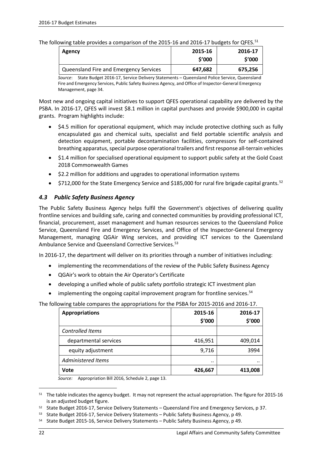The following table provides a comparison of the 2015-16 and 2016-17 budgets for QFES.<sup>[51](#page-31-1)</sup>

| Agency                                 | 2015-16<br>\$′000 | 2016-17<br>\$′000 |
|----------------------------------------|-------------------|-------------------|
| Queensland Fire and Emergency Services | 647,682           | 675,256           |

*Source*: State Budget 2016-17, Service Delivery Statements – Queensland Police Service, Queensland Fire and Emergency Services, Public Safety Business Agency, and Office of Inspector-General Emergency Management, page 34.

Most new and ongoing capital initiatives to support QFES operational capability are delivered by the PSBA. In 2016-17, QFES will invest \$8.1 million in capital purchases and provide \$900,000 in capital grants. Program highlights include:

- \$4.5 million for operational equipment, which may include protective clothing such as fully encapsulated gas and chemical suits, specialist and field portable scientific analysis and detection equipment, portable decontamination facilities, compressors for self-contained breathing apparatus, special purpose operational trailers and first response all-terrain vehicles
- \$1.4 million for specialised operational equipment to support public safety at the Gold Coast 2018 Commonwealth Games
- \$2.2 million for additions and upgrades to operational information systems
- $$712,000$  for the State Emergency Service and \$185,000 for rural fire brigade capital grants.<sup>[52](#page-31-2)</sup>

# <span id="page-31-0"></span>*4.3 Public Safety Business Agency*

The Public Safety Business Agency helps fulfil the Government's objectives of delivering quality frontline services and building safe, caring and connected communities by providing professional ICT, financial, procurement, asset management and human resources services to the Queensland Police Service, Queensland Fire and Emergency Services, and Office of the Inspector-General Emergency Management, managing QGAir Wing services, and providing ICT services to the Queensland Ambulance Service and Queensland Corrective Services.<sup>[53](#page-31-3)</sup>

In 2016-17, the department will deliver on its priorities through a number of initiatives including:

- implementing the recommendations of the review of the Public Safety Business Agency
- QGAir's work to obtain the Air Operator's Certificate
- developing a unified whole of public safety portfolio strategic ICT investment plan
- implementing the ongoing capital improvement program for frontline services.  $54$

The following table compares the appropriations for the PSBA for 2015-2016 and 2016-17.

| <b>Appropriations</b> | 2015-16<br>\$'000 | 2016-17<br>\$'000 |
|-----------------------|-------------------|-------------------|
| Controlled Items      |                   |                   |
| departmental services | 416,951           | 409,014           |
| equity adjustment     | 9,716             | 3994              |
| Administered Items    | $\cdot$ .         |                   |
| Vote                  | 426,667           | 413,008           |

*Source:* Appropriation Bill 2016, Schedule 2, page 13.

<span id="page-31-1"></span><sup>51</sup> The table indicates the agency budget. It may not represent the actual appropriation. The figure for 2015-16 is an adjusted budget figure. 52 State Budget 2016-17, Service Delivery Statements – Queensland Fire and Emergency Services, p 37.

<span id="page-31-2"></span>

<span id="page-31-3"></span><sup>53</sup> State Budget 2016-17, Service Delivery Statements – Public Safety Business Agency, p 49.

<span id="page-31-4"></span><sup>54</sup> State Budget 2015-16, Service Delivery Statements – Public Safety Business Agency, p 49.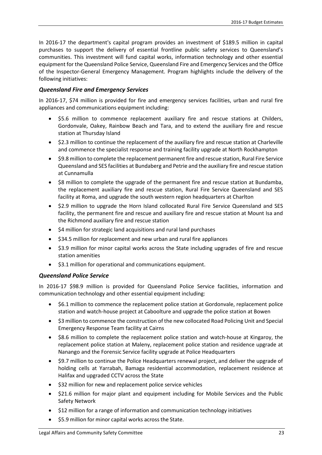In 2016-17 the department's capital program provides an investment of \$189.5 million in capital purchases to support the delivery of essential frontline public safety services to Queensland's communities. This investment will fund capital works, information technology and other essential equipment for the Queensland Police Service, Queensland Fire and Emergency Services and the Office of the Inspector-General Emergency Management. Program highlights include the delivery of the following initiatives:

## *Queensland Fire and Emergency Services*

In 2016-17, \$74 million is provided for fire and emergency services facilities, urban and rural fire appliances and communications equipment including:

- \$5.6 million to commence replacement auxiliary fire and rescue stations at Childers, Gordonvale, Oakey, Rainbow Beach and Tara, and to extend the auxiliary fire and rescue station at Thursday Island
- \$2.3 million to continue the replacement of the auxiliary fire and rescue station at Charleville and commence the specialist response and training facility upgrade at North Rockhampton
- \$9.8 million to complete the replacement permanent fire and rescue station, Rural Fire Service Queensland and SES facilities at Bundaberg and Petrie and the auxiliary fire and rescue station at Cunnamulla
- \$8 million to complete the upgrade of the permanent fire and rescue station at Bundamba, the replacement auxiliary fire and rescue station, Rural Fire Service Queensland and SES facility at Roma, and upgrade the south western region headquarters at Charlton
- \$2.9 million to upgrade the Horn Island collocated Rural Fire Service Queensland and SES facility, the permanent fire and rescue and auxiliary fire and rescue station at Mount Isa and the Richmond auxiliary fire and rescue station
- \$4 million for strategic land acquisitions and rural land purchases
- \$34.5 million for replacement and new urban and rural fire appliances
- \$3.9 million for minor capital works across the State including upgrades of fire and rescue station amenities
- \$3.1 million for operational and communications equipment.

#### *Queensland Police Service*

In 2016-17 \$98.9 million is provided for Queensland Police Service facilities, information and communication technology and other essential equipment including:

- \$6.1 million to commence the replacement police station at Gordonvale, replacement police station and watch-house project at Caboolture and upgrade the police station at Bowen
- \$3 million to commence the construction of the new collocated Road Policing Unit and Special Emergency Response Team facility at Cairns
- \$8.6 million to complete the replacement police station and watch-house at Kingaroy, the replacement police station at Maleny, replacement police station and residence upgrade at Nanango and the Forensic Service facility upgrade at Police Headquarters
- \$9.7 million to continue the Police Headquarters renewal project, and deliver the upgrade of holding cells at Yarrabah, Bamaga residential accommodation, replacement residence at Halifax and upgraded CCTV across the State
- \$32 million for new and replacement police service vehicles
- \$21.6 million for major plant and equipment including for Mobile Services and the Public Safety Network
- \$12 million for a range of information and communication technology initiatives
- \$5.9 million for minor capital works across the State.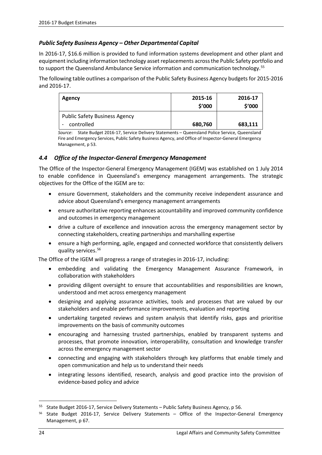# *Public Safety Business Agency – Other Departmental Capital*

In 2016-17, \$16.6 million is provided to fund information systems development and other plant and equipment including information technology asset replacements across the Public Safety portfolio and to support the Queensland Ambulance Service information and communication technology.<sup>55</sup>

The following table outlines a comparison of the Public Safety Business Agency budgets for 2015-2016 and 2016-17.

| Agency                                             | 2015-16<br>\$'000 | 2016-17<br>\$′000 |
|----------------------------------------------------|-------------------|-------------------|
| <b>Public Safety Business Agency</b><br>controlled | 680,760           | 683,111           |

*Source*: State Budget 2016-17, Service Delivery Statements – Queensland Police Service, Queensland Fire and Emergency Services, Public Safety Business Agency, and Office of Inspector-General Emergency Management, p 53.

## *4.4 Office of the Inspector-General Emergency Management*

The Office of the Inspector-General Emergency Management (IGEM) was established on 1 July 2014 to enable confidence in Queensland's emergency management arrangements. The strategic objectives for the Office of the IGEM are to:

- ensure Government, stakeholders and the community receive independent assurance and advice about Queensland's emergency management arrangements
- ensure authoritative reporting enhances accountability and improved community confidence and outcomes in emergency management
- drive a culture of excellence and innovation across the emergency management sector by connecting stakeholders, creating partnerships and marshalling expertise
- ensure a high performing, agile, engaged and connected workforce that consistently delivers quality services.<sup>[56](#page-33-1)</sup>

The Office of the IGEM will progress a range of strategies in 2016-17, including:

- embedding and validating the Emergency Management Assurance Framework, in collaboration with stakeholders
- providing diligent oversight to ensure that accountabilities and responsibilities are known, understood and met across emergency management
- designing and applying assurance activities, tools and processes that are valued by our stakeholders and enable performance improvements, evaluation and reporting
- undertaking targeted reviews and system analysis that identify risks, gaps and prioritise improvements on the basis of community outcomes
- encouraging and harnessing trusted partnerships, enabled by transparent systems and processes, that promote innovation, interoperability, consultation and knowledge transfer across the emergency management sector
- connecting and engaging with stakeholders through key platforms that enable timely and open communication and help us to understand their needs
- integrating lessons identified, research, analysis and good practice into the provision of evidence-based policy and advice

<span id="page-33-0"></span><sup>55</sup> State Budget 2016-17, Service Delivery Statements – Public Safety Business Agency, p 56.

<span id="page-33-1"></span><sup>56</sup> State Budget 2016-17, Service Delivery Statements – Office of the Inspector-General Emergency Management, p 67.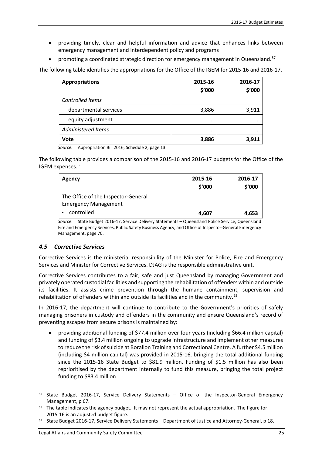- providing timely, clear and helpful information and advice that enhances links between emergency management and interdependent policy and programs
- promoting a coordinated strategic direction for emergency management in Queensland.[57](#page-34-1)

The following table identifies the appropriations for the Office of the IGEM for 2015-16 and 2016-17.

| <b>Appropriations</b>                                    | 2015-16<br>\$'000 | 2016-17<br>\$'000 |
|----------------------------------------------------------|-------------------|-------------------|
| <b>Controlled Items</b>                                  |                   |                   |
| departmental services                                    | 3,886             | 3,911             |
| equity adjustment                                        |                   |                   |
| Administered Items                                       |                   |                   |
| <b>Vote</b>                                              | 3,886             | 3,911             |
| Appropriation Bill 2016, Schedule 2, page 13.<br>Source: |                   |                   |

The following table provides a comparison of the 2015-16 and 2016-17 budgets for the Office of the IGEM expenses.<sup>[58](#page-34-2)</sup>

| Agency                              | 2015-16<br>\$'000 | 2016-17<br>\$'000 |
|-------------------------------------|-------------------|-------------------|
| The Office of the Inspector-General |                   |                   |
| <b>Emergency Management</b>         |                   |                   |
| controlled                          | 4,607             | 4,653             |

*Source*: State Budget 2016-17, Service Delivery Statements – Queensland Police Service, Queensland Fire and Emergency Services, Public Safety Business Agency, and Office of Inspector-General Emergency Management, page 70.

## <span id="page-34-0"></span>*4.5 Corrective Services*

Corrective Services is the ministerial responsibility of the Minister for Police, Fire and Emergency Services and Minister for Corrective Services. DJAG is the responsible administrative unit.

Corrective Services contributes to a fair, safe and just Queensland by managing Government and privately operated custodial facilities and supporting the rehabilitation of offenders within and outside its facilities. It assists crime prevention through the humane containment, supervision and rehabilitation of offenders within and outside its facilities and in the community.[59](#page-34-3)

In 2016-17, the department will continue to contribute to the Government's priorities of safely managing prisoners in custody and offenders in the community and ensure Queensland's record of preventing escapes from secure prisons is maintained by:

• providing additional funding of \$77.4 million over four years (including \$66.4 million capital) and funding of \$3.4 million ongoing to upgrade infrastructure and implement other measures to reduce the risk of suicide at Borallon Training and Correctional Centre. A further \$4.5 million (including \$4 million capital) was provided in 2015-16, bringing the total additional funding since the 2015-16 State Budget to \$81.9 million. Funding of \$1.5 million has also been reprioritised by the department internally to fund this measure, bringing the total project funding to \$83.4 million

<span id="page-34-1"></span><sup>57</sup> State Budget 2016-17, Service Delivery Statements – Office of the Inspector-General Emergency Management, p 67.

<span id="page-34-2"></span><sup>58</sup> The table indicates the agency budget. It may not represent the actual appropriation. The figure for 2015-16 is an adjusted budget figure.

<span id="page-34-3"></span><sup>59</sup> State Budget 2016-17, Service Delivery Statements – Department of Justice and Attorney-General, p 18.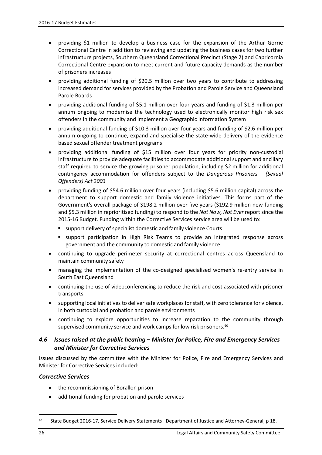- providing \$1 million to develop a business case for the expansion of the Arthur Gorrie Correctional Centre in addition to reviewing and updating the business cases for two further infrastructure projects, Southern Queensland Correctional Precinct (Stage 2) and Capricornia Correctional Centre expansion to meet current and future capacity demands as the number of prisoners increases
- providing additional funding of \$20.5 million over two years to contribute to addressing increased demand for services provided by the Probation and Parole Service and Queensland Parole Boards
- providing additional funding of \$5.1 million over four years and funding of \$1.3 million per annum ongoing to modernise the technology used to electronically monitor high risk sex offenders in the community and implement a Geographic Information System
- providing additional funding of \$10.3 million over four years and funding of \$2.6 million per annum ongoing to continue, expand and specialise the state-wide delivery of the evidence based sexual offender treatment programs
- providing additional funding of \$15 million over four years for priority non-custodial infrastructure to provide adequate facilities to accommodate additional support and ancillary staff required to service the growing prisoner population, including \$2 million for additional contingency accommodation for offenders subject to the *Dangerous Prisoners (Sexual Offenders) Act 2003*
- providing funding of \$54.6 million over four years (including \$5.6 million capital) across the department to support domestic and family violence initiatives. This forms part of the Government's overall package of \$198.2 million over five years (\$192.9 million new funding and \$5.3 million in reprioritised funding) to respond to the *Not Now, Not Ever* report since the 2015-16 Budget. Funding within the Corrective Services service area will be used to:
	- **E** support delivery of specialist domestic and family violence Courts
	- **EX SUPPORE DATA SIGNAL EXECTS IN EXECTS FOR THE SUPPORT AT A SUPPORT AT SIGNAL S** Support participation in High Risk Teams to provide an integrated response across government and the community to domestic and family violence
- continuing to upgrade perimeter security at correctional centres across Queensland to maintain community safety
- managing the implementation of the co-designed specialised women's re-entry service in South East Queensland
- continuing the use of videoconferencing to reduce the risk and cost associated with prisoner transports
- supporting local initiatives to deliver safe workplaces for staff, with zero tolerance for violence, in both custodial and probation and parole environments
- continuing to explore opportunities to increase reparation to the community through supervised community service and work camps for low risk prisoners.<sup>60</sup>

# <span id="page-35-0"></span>*4.6 Issues raised at the public hearing – Minister for Police, Fire and Emergency Services and Minister for Corrective Services*

Issues discussed by the committee with the Minister for Police, Fire and Emergency Services and Minister for Corrective Services included:

# *Corrective Services*

- the recommissioning of Borallon prison
- additional funding for probation and parole services

<span id="page-35-1"></span><sup>60</sup> State Budget 2016-17, Service Delivery Statements –Department of Justice and Attorney-General, p 18.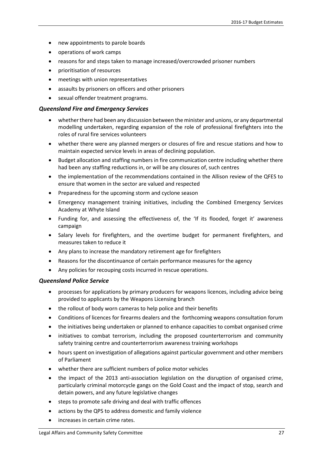- new appointments to parole boards
- operations of work camps
- reasons for and steps taken to manage increased/overcrowded prisoner numbers
- prioritisation of resources
- meetings with union representatives
- assaults by prisoners on officers and other prisoners
- sexual offender treatment programs.

#### *Queensland Fire and Emergency Services*

- whether there had been any discussion between the minister and unions, or any departmental modelling undertaken, regarding expansion of the role of professional firefighters into the roles of rural fire services volunteers
- whether there were any planned mergers or closures of fire and rescue stations and how to maintain expected service levels in areas of declining population.
- Budget allocation and staffing numbers in fire communication centre including whether there had been any staffing reductions in, or will be any closures of, such centres
- the implementation of the recommendations contained in the Allison review of the QFES to ensure that women in the sector are valued and respected
- Preparedness for the upcoming storm and cyclone season
- Emergency management training initiatives, including the Combined Emergency Services Academy at Whyte Island
- Funding for, and assessing the effectiveness of, the 'If its flooded, forget it' awareness campaign
- Salary levels for firefighters, and the overtime budget for permanent firefighters, and measures taken to reduce it
- Any plans to increase the mandatory retirement age for firefighters
- Reasons for the discontinuance of certain performance measures for the agency
- Any policies for recouping costs incurred in rescue operations.

#### *Queensland Police Service*

- processes for applications by primary producers for weapons licences, including advice being provided to applicants by the Weapons Licensing branch
- the rollout of body worn cameras to help police and their benefits
- Conditions of licences for firearms dealers and the forthcoming weapons consultation forum
- the initiatives being undertaken or planned to enhance capacities to combat organised crime
- initiatives to combat terrorism, including the proposed counterterrorism and community safety training centre and counterterrorism awareness training workshops
- hours spent on investigation of allegations against particular government and other members of Parliament
- whether there are sufficient numbers of police motor vehicles
- the impact of the 2013 anti-association legislation on the disruption of organised crime, particularly criminal motorcycle gangs on the Gold Coast and the impact of stop, search and detain powers, and any future legislative changes
- steps to promote safe driving and deal with traffic offences
- actions by the QPS to address domestic and family violence
- increases in certain crime rates.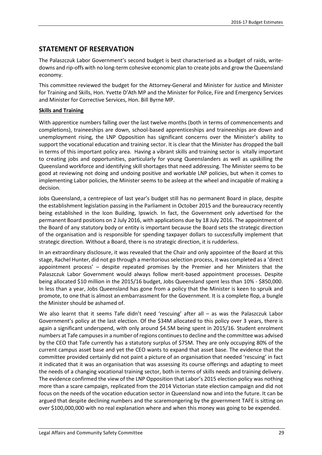# <span id="page-38-0"></span>**STATEMENT OF RESERVATION**

The Palaszczuk Labor Government's second budget is best characterised as a budget of raids, writedowns and rip-offs with no long-term cohesive economic plan to create jobs and grow the Queensland economy.

This committee reviewed the budget for the Attorney-General and Minister for Justice and Minister for Training and Skills, Hon. Yvette D'Ath MP and the Minister for Police, Fire and Emergency Services and Minister for Corrective Services, Hon. Bill Byrne MP.

#### **Skills and Training**

With apprentice numbers falling over the last twelve months (both in terms of commencements and completions), traineeships are down, school-based apprenticeships and traineeships are down and unemployment rising, the LNP Opposition has significant concerns over the Minister's ability to support the vocational education and training sector. It is clear that the Minister has dropped the ball in terms of this important policy area. Having a vibrant skills and training sector is vitally important to creating jobs and opportunities, particularly for young Queenslanders as well as upskilling the Queensland workforce and identifying skill shortages that need addressing. The Minister seems to be good at reviewing not doing and undoing positive and workable LNP policies, but when it comes to implementing Labor policies, the Minister seems to be asleep at the wheel and incapable of making a decision.

Jobs Queensland, a centrepiece of last year's budget still has no permanent Board in place, despite the establishment legislation passing in the Parliament in October 2015 and the bureaucracy recently being established in the Icon Building, Ipswich. In fact, the Government only advertised for the permanent Board positions on 2 July 2016, with applications due by 18 July 2016. The appointment of the Board of any statutory body or entity is important because the Board sets the strategic direction of the organisation and is responsible for spending taxpayer dollars to successfully implement that strategic direction. Without a Board, there is no strategic direction, it is rudderless.

In an extraordinary disclosure, it was revealed that the Chair and only appointee of the Board at this stage, Rachel Hunter, did not go through a meritorious selection process, it was completed as a 'direct appointment process' – despite repeated promises by the Premier and her Ministers that the Palaszczuk Labor Government would always follow merit-based appointment processes. Despite being allocated \$10 million in the 2015/16 budget, Jobs Queensland spent less than 10% - \$850,000. In less than a year, Jobs Queensland has gone from a policy that the Minister is keen to spruik and promote, to one that is almost an embarrassment for the Government. It is a complete flop, a bungle the Minister should be ashamed of.

We also learnt that it seems Tafe didn't need 'rescuing' after all – as was the Palaszczuk Labor Government's policy at the last election. Of the \$34M allocated to this policy over 3 years, there is again a significant underspend, with only around \$4.5M being spent in 2015/16. Student enrolment numbers at Tafe campuses in a number of regions continues to decline and the committee was advised by the CEO that Tafe currently has a statutory surplus of \$75M. They are only occupying 80% of the current campus asset base and yet the CEO wants to expand that asset base. The evidence that the committee provided certainly did not paint a picture of an organisation that needed 'rescuing' in fact it indicated that it was an organisation that was assessing its course offerings and adapting to meet the needs of a changing vocational training sector, both in terms of skills needs and training delivery. The evidence confirmed the view of the LNP Opposition that Labor's 2015 election policy was nothing more than a scare campaign, replicated from the 2014 Victorian state election campaign and did not focus on the needs of the vocation education sector in Queensland now and into the future. It can be argued that despite declining numbers and the scaremongering by the government TAFE is sitting on over \$100,000,000 with no real explanation where and when this money was going to be expended.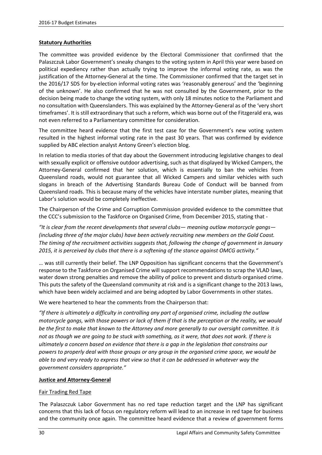#### **Statutory Authorities**

The committee was provided evidence by the Electoral Commissioner that confirmed that the Palaszczuk Labor Government's sneaky changes to the voting system in April this year were based on political expediency rather than actually trying to improve the informal voting rate, as was the justification of the Attorney-General at the time. The Commissioner confirmed that the target set in the 2016/17 SDS for by-election informal voting rates was 'reasonably generous' and the 'beginning of the unknown'. He also confirmed that he was not consulted by the Government, prior to the decision being made to change the voting system, with only 18 minutes notice to the Parliament and no consultation with Queenslanders. This was explained by the Attorney-General as of the 'very short timeframes'. It is still extraordinary that such a reform, which was borne out of the Fitzgerald era, was not even referred to a Parliamentary committee for consideration.

The committee heard evidence that the first test case for the Government's new voting system resulted in the highest informal voting rate in the past 30 years. That was confirmed by evidence supplied by ABC election analyst Antony Green's election blog.

In relation to media stories of that day about the Government introducing legislative changes to deal with sexually explicit or offensive outdoor advertising, such as that displayed by Wicked Campers, the Attorney-General confirmed that her solution, which is essentially to ban the vehicles from Queensland roads, would not guarantee that all Wicked Campers and similar vehicles with such slogans in breach of the Advertising Standards Bureau Code of Conduct will be banned from Queensland roads. This is because many of the vehicles have interstate number plates, meaning that Labor's solution would be completely ineffective.

The Chairperson of the Crime and Corruption Commission provided evidence to the committee that the CCC's submission to the Taskforce on Organised Crime, from December 2015, stating that -

*"It is clear from the recent developments that several clubs— meaning outlaw motorcycle gangs— (including three of the major clubs) have been actively recruiting new members on the Gold Coast. The timing of the recruitment activities suggests that, following the change of government in January 2015, it is perceived by clubs that there is a softening of the stance against OMCG activity."* 

… was still currently their belief. The LNP Opposition has significant concerns that the Government's response to the Taskforce on Organised Crime will support recommendations to scrap the VLAD laws, water down strong penalties and remove the ability of police to prevent and disturb organised crime. This puts the safety of the Queensland community at risk and is a significant change to the 2013 laws, which have been widely acclaimed and are being adopted by Labor Governments in other states.

We were heartened to hear the comments from the Chairperson that:

*"If there is ultimately a difficulty in controlling any part of organised crime, including the outlaw motorcycle gangs, with those powers or lack of them if that is the perception or the reality, we would be the first to make that known to the Attorney and more generally to our oversight committee. It is not as though we are going to be stuck with something, as it were, that does not work. If there is ultimately a concern based on evidence that there is a gap in the legislation that constrains our powers to properly deal with those groups or any group in the organised crime space, we would be able to and very ready to express that view so that it can be addressed in whatever way the government considers appropriate."*

#### **Justice and Attorney-General**

#### Fair Trading Red Tape

The Palaszczuk Labor Government has no red tape reduction target and the LNP has significant concerns that this lack of focus on regulatory reform will lead to an increase in red tape for business and the community once again. The committee heard evidence that a review of government forms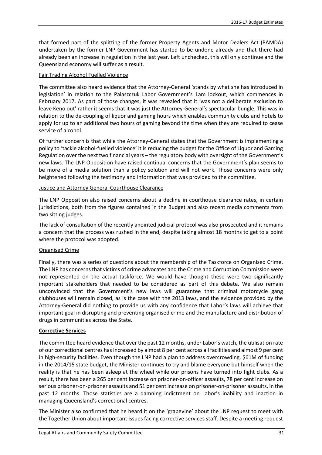that formed part of the splitting of the former Property Agents and Motor Dealers Act (PAMDA) undertaken by the former LNP Government has started to be undone already and that there had already been an increase in regulation in the last year. Left unchecked, this will only continue and the Queensland economy will suffer as a result.

#### Fair Trading Alcohol Fuelled Violence

The committee also heard evidence that the Attorney-General 'stands by what she has introduced in legislation' in relation to the Palaszczuk Labor Government's 1am lockout, which commences in February 2017. As part of those changes, it was revealed that it 'was not a deliberate exclusion to leave Keno out' rather it seems that it was just the Attorney-General's spectacular bungle. This was in relation to the de-coupling of liquor and gaming hours which enables community clubs and hotels to apply for up to an additional two hours of gaming beyond the time when they are required to cease service of alcohol.

Of further concern is that while the Attorney-General states that the Government is implementing a policy to 'tackle alcohol-fuelled violence' it is reducing the budget for the Office of Liquor and Gaming Regulation over the next two financial years – the regulatory body with oversight of the Government's new laws. The LNP Opposition have raised continual concerns that the Government's plan seems to be more of a media solution than a policy solution and will not work. Those concerns were only heightened following the testimony and information that was provided to the committee.

#### Justice and Attorney General Courthouse Clearance

The LNP Opposition also raised concerns about a decline in courthouse clearance rates, in certain jurisdictions, both from the figures contained in the Budget and also recent media comments from two sitting judges.

The lack of consultation of the recently anointed judicial protocol was also prosecuted and it remains a concern that the process was rushed in the end, despite taking almost 18 months to get to a point where the protocol was adopted.

#### Organised Crime

Finally, there was a series of questions about the membership of the Taskforce on Organised Crime. The LNP has concerns that victims of crime advocates and the Crime and Corruption Commission were not represented on the actual taskforce. We would have thought these were two significantly important stakeholders that needed to be considered as part of this debate. We also remain unconvinced that the Government's new laws will guarantee that criminal motorcycle gang clubhouses will remain closed, as is the case with the 2013 laws, and the evidence provided by the Attorney-General did nothing to provide us with any confidence that Labor's laws will achieve that important goal in disrupting and preventing organised crime and the manufacture and distribution of drugs in communities across the State.

## **Corrective Services**

The committee heard evidence that over the past 12 months, under Labor's watch, the utilisation rate of our correctional centres has increased by almost 8 per cent across all facilities and almost 9 per cent in high-security facilities. Even though the LNP had a plan to address overcrowding, \$61M of funding in the 2014/15 state budget, the Minister continues to try and blame everyone but himself when the reality is that he has been asleep at the wheel while our prisons have turned into fight clubs. As a result, there has been a 265 per cent increase on prisoner-on-officer assaults, 78 per cent increase on serious prisoner-on-prisoner assaults and 51 per cent increase on prisoner-on-prisoner assaults, in the past 12 months. Those statistics are a damning indictment on Labor's inability and inaction in managing Queensland's correctional centres.

The Minister also confirmed that he heard it on the 'grapevine' about the LNP request to meet with the Together Union about important issues facing corrective services staff. Despite a meeting request